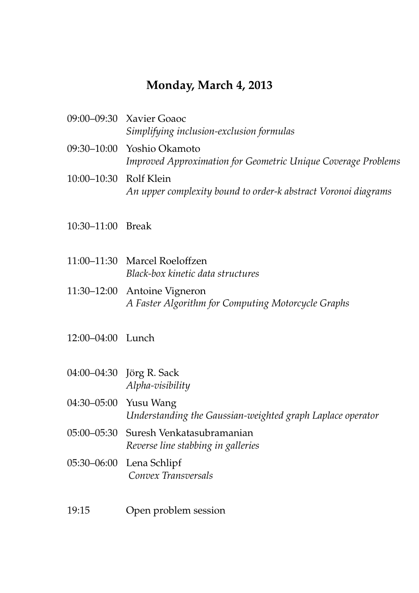## **Monday, March 4, 2013**

|                        | 09:00–09:30 Xavier Goaoc                                                                    |
|------------------------|---------------------------------------------------------------------------------------------|
|                        | Simplifying inclusion-exclusion formulas                                                    |
|                        | 09:30–10:00 Yoshio Okamoto<br>Improved Approximation for Geometric Unique Coverage Problems |
| 10:00-10:30 Rolf Klein | An upper complexity bound to order-k abstract Voronoi diagrams                              |

- 10:30–11:00 Break
- 11:00–11:30 Marcel Roeloffzen *Black-box kinetic data structures*
- 11:30–12:00 Antoine Vigneron *A Faster Algorithm for Computing Motorcycle Graphs*
- 12:00–04:00 Lunch
- 04:00–04:30 Jörg R. Sack *Alpha-visibility*
- 04:30–05:00 Yusu Wang *Understanding the Gaussian-weighted graph Laplace operator*
- 05:00–05:30 Suresh Venkatasubramanian *Reverse line stabbing in galleries*
- 05:30–06:00 Lena Schlipf *Convex Transversals*
- 19:15 Open problem session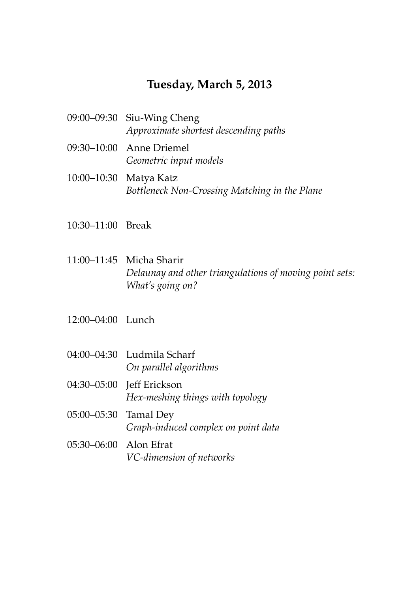#### **Tuesday, March 5, 2013**

- 09:00–09:30 Siu-Wing Cheng *Approximate shortest descending paths*
- 09:30–10:00 Anne Driemel *Geometric input models*
- 10:00–10:30 Matya Katz *Bottleneck Non-Crossing Matching in the Plane*
- 10:30–11:00 Break
- 11:00–11:45 Micha Sharir *Delaunay and other triangulations of moving point sets: What's going on?*
- 12:00–04:00 Lunch
- 04:00–04:30 Ludmila Scharf *On parallel algorithms*
- 04:30-05:00 **Jeff Erickson** *Hex-meshing things with topology*
- 05:00–05:30 Tamal Dey *Graph-induced complex on point data*
- 05:30–06:00 Alon Efrat *VC-dimension of networks*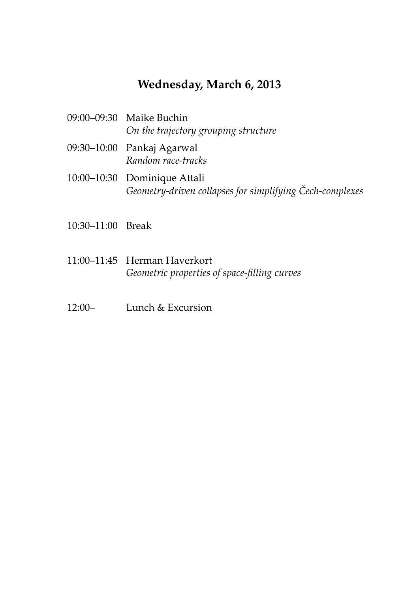# **Wednesday, March 6, 2013**

- 09:00–09:30 Maike Buchin *On the trajectory grouping structure*
- 09:30–10:00 Pankaj Agarwal *Random race-tracks*
- 10:00–10:30 Dominique Attali *Geometry-driven collapses for simplifying Cech-complexes ˇ*
- 10:30–11:00 Break
- 11:00–11:45 Herman Haverkort *Geometric properties of space-filling curves*
- 12:00– Lunch & Excursion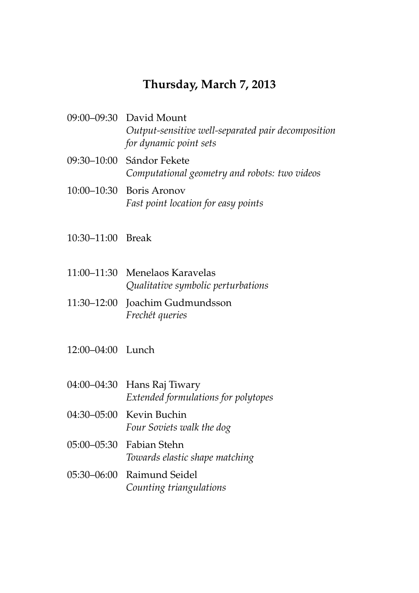## **Thursday, March 7, 2013**

- 09:00–09:30 David Mount *Output-sensitive well-separated pair decomposition for dynamic point sets*
- 09:30–10:00 Sándor Fekete *Computational geometry and robots: two videos*
- 10:00–10:30 Boris Aronov *Fast point location for easy points*
- 10:30–11:00 Break
- 11:00–11:30 Menelaos Karavelas *Qualitative symbolic perturbations*
- 11:30–12:00 Joachim Gudmundsson *Frech´et queries*
- 12:00–04:00 Lunch
- 04:00–04:30 Hans Raj Tiwary *Extended formulations for polytopes*
- 04:30–05:00 Kevin Buchin *Four Soviets walk the dog*
- 05:00–05:30 Fabian Stehn *Towards elastic shape matching*
- 05:30–06:00 Raimund Seidel *Counting triangulations*